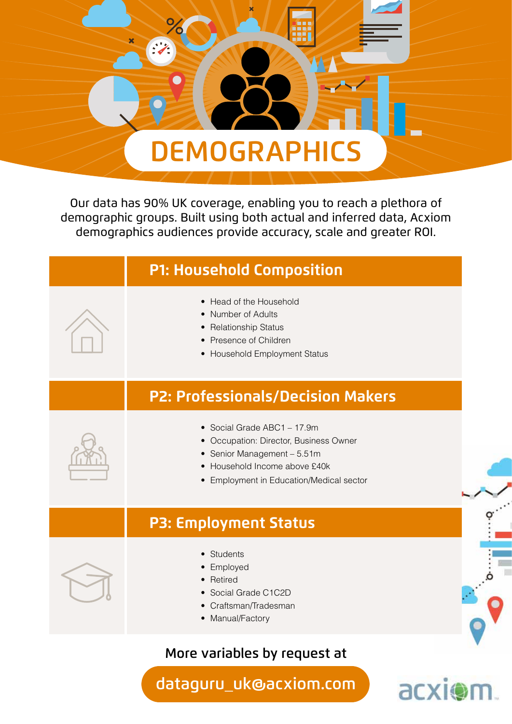

Our data has 90% UK coverage, enabling you to reach a plethora of demographic groups. Built using both actual and inferred data, Acxiom demographics audiences provide accuracy, scale and greater ROI.



## More variables by request at

dataguru\_uk@acxiom.com

acxion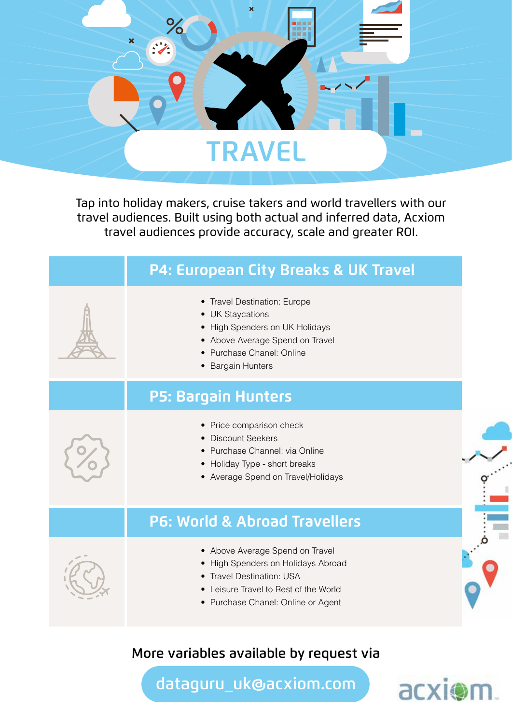

Tap into holiday makers, cruise takers and world travellers with our travel audiences. Built using both actual and inferred data, Acxiom travel audiences provide accuracy, scale and greater ROI.

| P4: European City Breaks & UK Travel                                                                                                                                              |  |
|-----------------------------------------------------------------------------------------------------------------------------------------------------------------------------------|--|
| • Travel Destination: Europe<br>• UK Staycations<br>• High Spenders on UK Holidays<br>• Above Average Spend on Travel<br>• Purchase Chanel: Online<br>• Bargain Hunters           |  |
| <b>P5: Bargain Hunters</b>                                                                                                                                                        |  |
| • Price comparison check<br>• Discount Seekers<br>• Purchase Channel: via Online<br>• Holiday Type - short breaks<br>• Average Spend on Travel/Holidays                           |  |
| <b>P6: World &amp; Abroad Travellers</b>                                                                                                                                          |  |
| • Above Average Spend on Travel<br>• High Spenders on Holidays Abroad<br>• Travel Destination: USA<br>• Leisure Travel to Rest of the World<br>• Purchase Chanel: Online or Agent |  |

#### More variables available by request via

dataguru\_uk@acxiom.com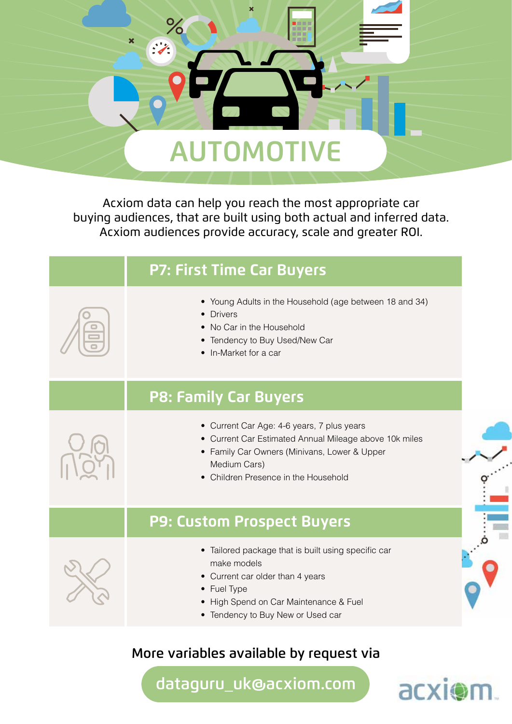

Acxiom data can help you reach the most appropriate car buying audiences, that are built using both actual and inferred data. Acxiom audiences provide accuracy, scale and greater ROI.

| <b>P7: First Time Car Buyers</b>                                                                                                                                                                             |
|--------------------------------------------------------------------------------------------------------------------------------------------------------------------------------------------------------------|
| • Young Adults in the Household (age between 18 and 34)<br>• Drivers<br>• No Car in the Household<br>• Tendency to Buy Used/New Car<br>• In-Market for a car                                                 |
| <b>P8: Family Car Buyers</b>                                                                                                                                                                                 |
| • Current Car Age: 4-6 years, 7 plus years<br>• Current Car Estimated Annual Mileage above 10k miles<br>• Family Car Owners (Minivans, Lower & Upper<br>Medium Cars)<br>• Children Presence in the Household |
| P9: Custom Prospect Buyers                                                                                                                                                                                   |
| • Tailored package that is built using specific car<br>make models<br>• Current car older than 4 years<br>• Fuel Type<br>• High Spend on Car Maintenance & Fuel<br>• Tendency to Buy New or Used car         |

# More variables available by request via

dataguru\_uk@acxiom.com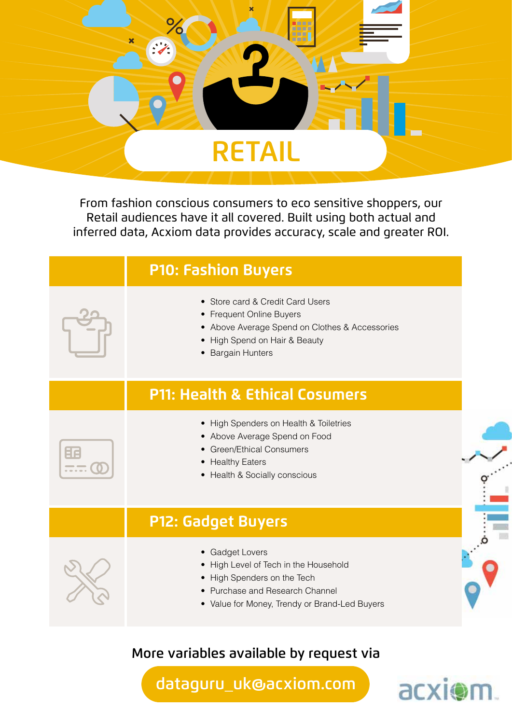

From fashion conscious consumers to eco sensitive shoppers, our Retail audiences have it all covered. Built using both actual and inferred data, Acxiom data provides accuracy, scale and greater ROI.



#### More variables available by request via

dataguru\_uk@acxiom.com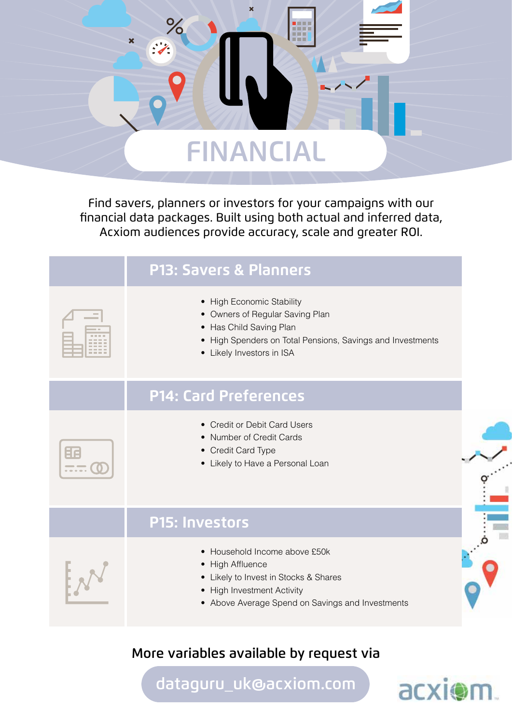

Find savers, planners or investors for your campaigns with our financial data packages. Built using both actual and inferred data, Acxiom audiences provide accuracy, scale and greater ROI.

| <b>P13: Savers &amp; Planners</b>                                                                                                                                                  |
|------------------------------------------------------------------------------------------------------------------------------------------------------------------------------------|
| • High Economic Stability<br>• Owners of Regular Saving Plan<br>• Has Child Saving Plan<br>• High Spenders on Total Pensions, Savings and Investments<br>• Likely Investors in ISA |
| <b>P14: Card Preferences</b>                                                                                                                                                       |
| • Credit or Debit Card Users<br>• Number of Credit Cards<br>• Credit Card Type<br>• Likely to Have a Personal Loan                                                                 |
| <b>P15: Investors</b>                                                                                                                                                              |
| • Household Income above £50k<br>• High Affluence<br>• Likely to Invest in Stocks & Shares<br>• High Investment Activity<br>• Above Average Spend on Savings and Investments       |
|                                                                                                                                                                                    |

## More variables available by request via

dataguru\_uk@acxiom.com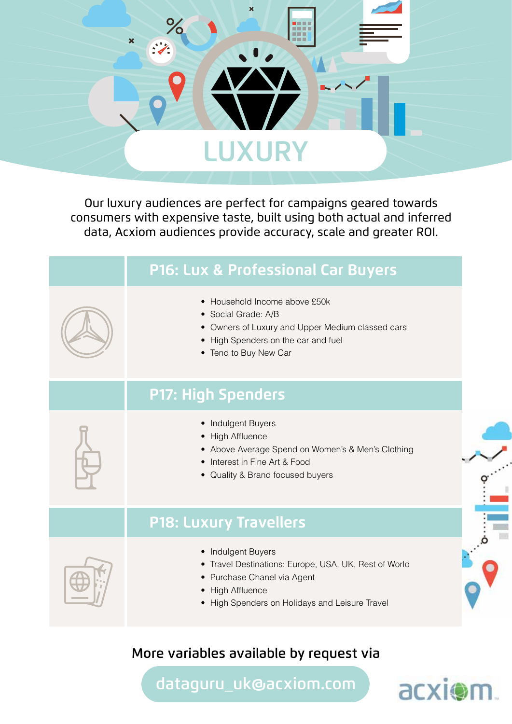

Our luxury audiences are perfect for campaigns geared towards consumers with expensive taste, built using both actual and inferred data, Acxiom audiences provide accuracy, scale and greater ROI.

| P16: Lux & Professional Car Buyers                                                                                                                                               |  |
|----------------------------------------------------------------------------------------------------------------------------------------------------------------------------------|--|
| • Household Income above £50k<br>• Social Grade: A/B<br>• Owners of Luxury and Upper Medium classed cars<br>High Spenders on the car and fuel<br>• Tend to Buy New Car           |  |
| <b>P17: High Spenders</b>                                                                                                                                                        |  |
| • Indulgent Buyers<br>• High Affluence<br>• Above Average Spend on Women's & Men's Clothing<br>Interest in Fine Art & Food<br>• Quality & Brand focused buyers                   |  |
| <b>P18: Luxury Travellers</b>                                                                                                                                                    |  |
| • Indulgent Buyers<br>• Travel Destinations: Europe, USA, UK, Rest of World<br>• Purchase Chanel via Agent<br>• High Affluence<br>• High Spenders on Holidays and Leisure Travel |  |

## More variables available by request via

dataguru\_uk@acxiom.com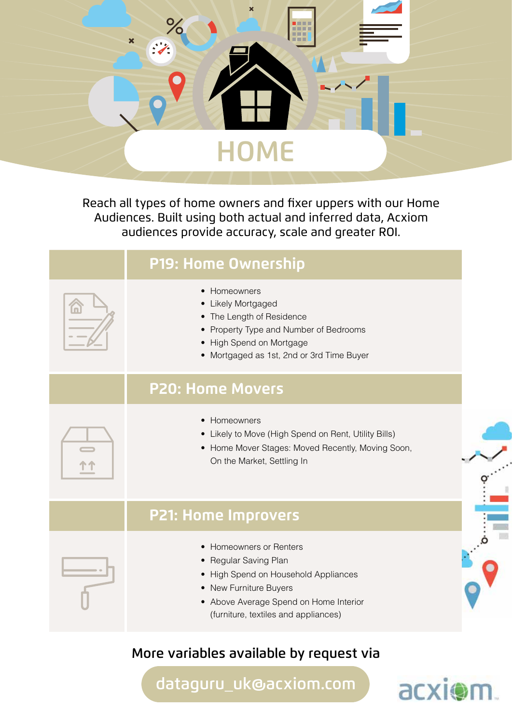

Reach all types of home owners and fixer uppers with our Home Audiences. Built using both actual and inferred data, Acxiom audiences provide accuracy, scale and greater ROI.



#### More variables available by request via

dataguru\_uk@acxiom.com